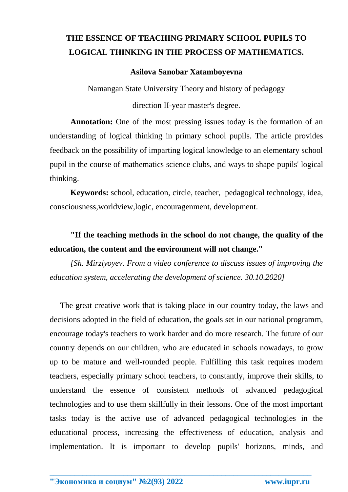# **THE ESSENCE OF TEACHING PRIMARY SCHOOL PUPILS TO LOGICAL THINKING IN THE PROCESS OF MATHEMATICS.**

## **Asilova Sanobar Xatamboyevna**

Namangan State University Theory and history of pedagogy

direction II-year master's degree.

Annotation: One of the most pressing issues today is the formation of an understanding of logical thinking in primary school pupils. The article provides feedback on the possibility of imparting logical knowledge to an elementary school pupil in the course of mathematics science clubs, and ways to shape pupils' logical thinking.

**Keywords:** school, education, circle, teacher, pedagogical technology, idea, consciousness,worldview,logic, encouragenment, development.

# **"If the teaching methods in the school do not change, the quality of the education, the content and the environment will not change."**

*[Sh. Mirziyoyev. From a video conference to discuss issues of improving the education system, accelerating the development of science. 30.10.2020]*

The great creative work that is taking place in our country today, the laws and decisions adopted in the field of education, the goals set in our national programm, encourage today's teachers to work harder and do more research. The future of our country depends on our children, who are educated in schools nowadays, to grow up to be mature and well-rounded people. Fulfilling this task requires modern teachers, especially primary school teachers, to constantly, improve their skills, to understand the essence of consistent methods of advanced pedagogical technologies and to use them skillfully in their lessons. One of the most important tasks today is the active use of advanced pedagogical technologies in the educational process, increasing the effectiveness of education, analysis and implementation. It is important to develop pupils' horizons, minds, and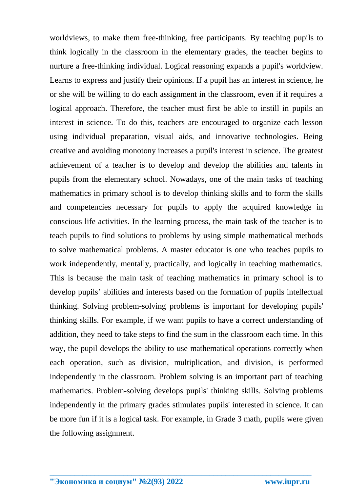worldviews, to make them free-thinking, free participants. By teaching pupils to think logically in the classroom in the elementary grades, the teacher begins to nurture a free-thinking individual. Logical reasoning expands a pupil's worldview. Learns to express and justify their opinions. If a pupil has an interest in science, he or she will be willing to do each assignment in the classroom, even if it requires a logical approach. Therefore, the teacher must first be able to instill in pupils an interest in science. To do this, teachers are encouraged to organize each lesson using individual preparation, visual aids, and innovative technologies. Being creative and avoiding monotony increases a pupil's interest in science. The greatest achievement of a teacher is to develop and develop the abilities and talents in pupils from the elementary school. Nowadays, one of the main tasks of teaching mathematics in primary school is to develop thinking skills and to form the skills and competencies necessary for pupils to apply the acquired knowledge in conscious life activities. In the learning process, the main task of the teacher is to teach pupils to find solutions to problems by using simple mathematical methods to solve mathematical problems. A master educator is one who teaches pupils to work independently, mentally, practically, and logically in teaching mathematics. This is because the main task of teaching mathematics in primary school is to develop pupils' abilities and interests based on the formation of pupils intellectual thinking. Solving problem-solving problems is important for developing pupils' thinking skills. For example, if we want pupils to have a correct understanding of addition, they need to take steps to find the sum in the classroom each time. In this way, the pupil develops the ability to use mathematical operations correctly when each operation, such as division, multiplication, and division, is performed independently in the classroom. Problem solving is an important part of teaching mathematics. Problem-solving develops pupils' thinking skills. Solving problems independently in the primary grades stimulates pupils' interested in science. It can be more fun if it is a logical task. For example, in Grade 3 math, pupils were given the following assignment.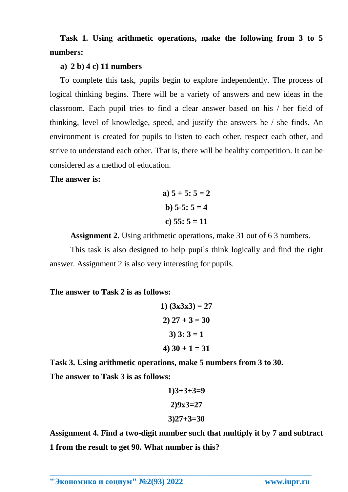**Task 1. Using arithmetic operations, make the following from 3 to 5 numbers:**

### **a) 2 b) 4 c) 11 numbers**

To complete this task, pupils begin to explore independently. The process of logical thinking begins. There will be a variety of answers and new ideas in the classroom. Each pupil tries to find a clear answer based on his / her field of thinking, level of knowledge, speed, and justify the answers he / she finds. An environment is created for pupils to listen to each other, respect each other, and strive to understand each other. That is, there will be healthy competition. It can be considered as a method of education.

#### **The answer is:**

a) 
$$
5 + 5
$$
:  $5 = 2$   
b)  $5-5$ :  $5 = 4$   
c)  $55$ :  $5 = 11$ 

**Assignment 2.** Using arithmetic operations, make 31 out of 6 3 numbers.

This task is also designed to help pupils think logically and find the right answer. Assignment 2 is also very interesting for pupils.

#### **The answer to Task 2 is as follows:**

1) 
$$
(3x3x3) = 27
$$
  
2)  $27 + 3 = 30$   
3)  $3:3 = 1$   
4)  $30 + 1 = 31$ 

**Task 3. Using arithmetic operations, make 5 numbers from 3 to 30. The answer to Task 3 is as follows:**

$$
1)3+3+3=9
$$
  

$$
2)9x3=27
$$
  

$$
3)27+3=30
$$

**Assignment 4. Find a two-digit number such that multiply it by 7 and subtract 1 from the result to get 90. What number is this?**